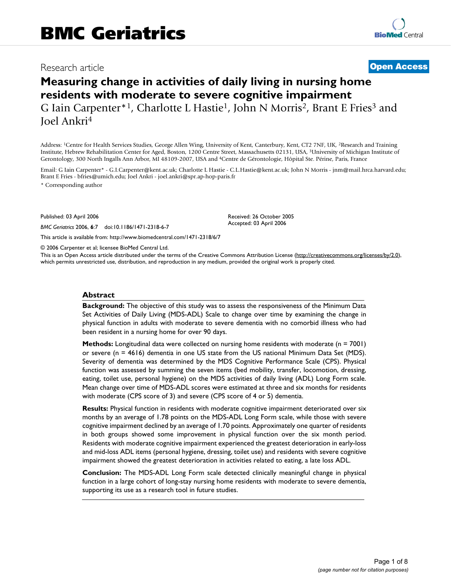## Research article **[Open Access](http://www.biomedcentral.com/info/about/charter/)**

# **Measuring change in activities of daily living in nursing home residents with moderate to severe cognitive impairment** G Iain Carpenter<sup>\*1</sup>, Charlotte L Hastie<sup>1</sup>, John N Morris<sup>2</sup>, Brant E Fries<sup>3</sup> and

Joel Ankri4

Address: 1Centre for Health Services Studies, George Allen Wing, University of Kent, Canterbury, Kent, CT2 7NF, UK, 2Research and Training Institute, Hebrew Rehabilitation Center for Aged, Boston, 1200 Centre Street, Massachusetts 02131, USA, 3University of Michigan Institute of Gerontology, 300 North Ingalls Ann Arbor, MI 48109-2007, USA and 4Centre de Gérontologie, Hôpital Ste. Périne, Paris, France

Email: G Iain Carpenter\* - G.I.Carpenter@kent.ac.uk; Charlotte L Hastie - C.L.Hastie@kent.ac.uk; John N Morris - jnm@mail.hrca.harvard.edu; Brant E Fries - bfries@umich.edu; Joel Ankri - joel.ankri@spr.ap-hop-paris.fr

> Received: 26 October 2005 Accepted: 03 April 2006

\* Corresponding author

Published: 03 April 2006

*BMC Geriatrics* 2006, **6**:7 doi:10.1186/1471-2318-6-7

[This article is available from: http://www.biomedcentral.com/1471-2318/6/7](http://www.biomedcentral.com/1471-2318/6/7)

© 2006 Carpenter et al; licensee BioMed Central Ltd.

This is an Open Access article distributed under the terms of the Creative Commons Attribution License [\(http://creativecommons.org/licenses/by/2.0\)](http://creativecommons.org/licenses/by/2.0), which permits unrestricted use, distribution, and reproduction in any medium, provided the original work is properly cited.

#### **Abstract**

**Background:** The objective of this study was to assess the responsiveness of the Minimum Data Set Activities of Daily Living (MDS-ADL) Scale to change over time by examining the change in physical function in adults with moderate to severe dementia with no comorbid illness who had been resident in a nursing home for over 90 days.

**Methods:** Longitudinal data were collected on nursing home residents with moderate (n = 7001) or severe (n = 4616) dementia in one US state from the US national Minimum Data Set (MDS). Severity of dementia was determined by the MDS Cognitive Performance Scale (CPS). Physical function was assessed by summing the seven items (bed mobility, transfer, locomotion, dressing, eating, toilet use, personal hygiene) on the MDS activities of daily living (ADL) Long Form scale. Mean change over time of MDS-ADL scores were estimated at three and six months for residents with moderate (CPS score of 3) and severe (CPS score of 4 or 5) dementia.

**Results:** Physical function in residents with moderate cognitive impairment deteriorated over six months by an average of 1.78 points on the MDS-ADL Long Form scale, while those with severe cognitive impairment declined by an average of 1.70 points. Approximately one quarter of residents in both groups showed some improvement in physical function over the six month period. Residents with moderate cognitive impairment experienced the greatest deterioration in early-loss and mid-loss ADL items (personal hygiene, dressing, toilet use) and residents with severe cognitive impairment showed the greatest deterioration in activities related to eating, a late loss ADL.

**Conclusion:** The MDS-ADL Long Form scale detected clinically meaningful change in physical function in a large cohort of long-stay nursing home residents with moderate to severe dementia, supporting its use as a research tool in future studies.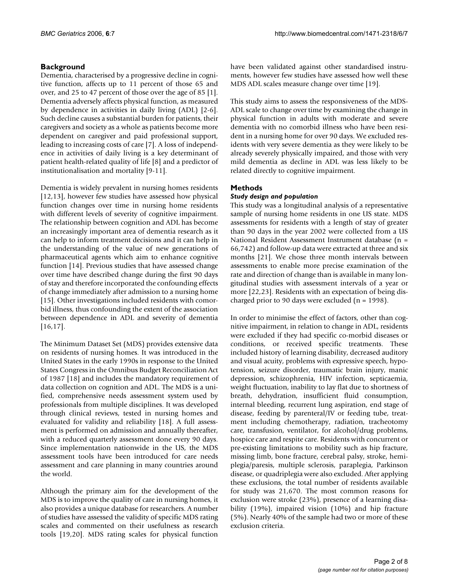### **Background**

Dementia, characterised by a progressive decline in cognitive function, affects up to 11 percent of those 65 and over, and 25 to 47 percent of those over the age of 85 [1]. Dementia adversely affects physical function, as measured by dependence in activities in daily living (ADL) [2-6]. Such decline causes a substantial burden for patients, their caregivers and society as a whole as patients become more dependent on caregiver and paid professional support, leading to increasing costs of care [7]. A loss of independence in activities of daily living is a key determinant of patient health-related quality of life [8] and a predictor of institutionalisation and mortality [9-11].

Dementia is widely prevalent in nursing homes residents [12,13], however few studies have assessed how physical function changes over time in nursing home residents with different levels of severity of cognitive impairment. The relationship between cognition and ADL has become an increasingly important area of dementia research as it can help to inform treatment decisions and it can help in the understanding of the value of new generations of pharmaceutical agents which aim to enhance cognitive function [14]. Previous studies that have assessed change over time have described change during the first 90 days of stay and therefore incorporated the confounding effects of change immediately after admission to a nursing home [15]. Other investigations included residents with comorbid illness, thus confounding the extent of the association between dependence in ADL and severity of dementia [16,17].

The Minimum Dataset Set (MDS) provides extensive data on residents of nursing homes. It was introduced in the United States in the early 1990s in response to the United States Congress in the Omnibus Budget Reconciliation Act of 1987 [18] and includes the mandatory requirement of data collection on cognition and ADL. The MDS is a unified, comprehensive needs assessment system used by professionals from multiple disciplines. It was developed through clinical reviews, tested in nursing homes and evaluated for validity and reliability [18]. A full assessment is performed on admission and annually thereafter, with a reduced quarterly assessment done every 90 days. Since implementation nationwide in the US, the MDS assessment tools have been introduced for care needs assessment and care planning in many countries around the world.

Although the primary aim for the development of the MDS is to improve the quality of care in nursing homes, it also provides a unique database for researchers. A number of studies have assessed the validity of specific MDS rating scales and commented on their usefulness as research tools [19,20]. MDS rating scales for physical function

have been validated against other standardised instruments, however few studies have assessed how well these MDS ADL scales measure change over time [19].

This study aims to assess the responsiveness of the MDS-ADL scale to change over time by examining the change in physical function in adults with moderate and severe dementia with no comorbid illness who have been resident in a nursing home for over 90 days. We excluded residents with very severe dementia as they were likely to be already severely physically impaired, and those with very mild dementia as decline in ADL was less likely to be related directly to cognitive impairment.

### **Methods**

#### *Study design and population*

This study was a longitudinal analysis of a representative sample of nursing home residents in one US state. MDS assessments for residents with a length of stay of greater than 90 days in the year 2002 were collected from a US National Resident Assessment Instrument database (n = 66,742) and follow-up data were extracted at three and six months [21]. We chose three month intervals between assessments to enable more precise examination of the rate and direction of change than is available in many longitudinal studies with assessment intervals of a year or more [22,23]. Residents with an expectation of being discharged prior to 90 days were excluded (n = 1998).

In order to minimise the effect of factors, other than cognitive impairment, in relation to change in ADL, residents were excluded if they had specific co-morbid diseases or conditions, or received specific treatments. These included history of learning disability, decreased auditory and visual acuity, problems with expressive speech, hypotension, seizure disorder, traumatic brain injury, manic depression, schizophrenia, HIV infection, septicaemia, weight fluctuation, inability to lay flat due to shortness of breath, dehydration, insufficient fluid consumption, internal bleeding, recurrent lung aspiration, end stage of disease, feeding by parenteral/IV or feeding tube, treatment including chemotherapy, radiation, tracheotomy care, transfusion, ventilator, for alcohol/drug problems, hospice care and respite care. Residents with concurrent or pre-existing limitations to mobility such as hip fracture, missing limb, bone fracture, cerebral palsy, stroke, hemiplegia/paresis, multiple sclerosis, paraplegia, Parkinson disease, or quadriplegia were also excluded. After applying these exclusions, the total number of residents available for study was 21,670. The most common reasons for exclusion were stroke (23%), presence of a learning disability (19%), impaired vision (10%) and hip fracture (5%). Nearly 40% of the sample had two or more of these exclusion criteria.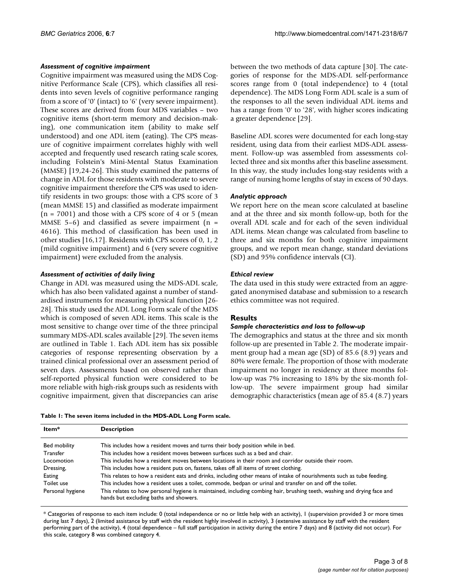#### *Assessment of cognitive impairment*

Cognitive impairment was measured using the MDS Cognitive Performance Scale (CPS), which classifies all residents into seven levels of cognitive performance ranging from a score of '0' (intact) to '6' (very severe impairment). These scores are derived from four MDS variables – two cognitive items (short-term memory and decision-making), one communication item (ability to make self understood) and one ADL item (eating). The CPS measure of cognitive impairment correlates highly with well accepted and frequently used research rating scale scores, including Folstein's Mini-Mental Status Examination (MMSE) [19,24-26]. This study examined the patterns of change in ADL for those residents with moderate to severe cognitive impairment therefore the CPS was used to identify residents in two groups: those with a CPS score of 3 (mean MMSE 15) and classified as moderate impairment  $(n = 7001)$  and those with a CPS score of 4 or 5 (mean MMSE 5–6) and classified as severe impairment ( $n =$ 4616). This method of classification has been used in other studies [16,17]. Residents with CPS scores of 0, 1, 2 (mild cognitive impairment) and 6 (very severe cognitive impairment) were excluded from the analysis.

#### *Assessment of activities of daily living*

**Item\* Description**

Change in ADL was measured using the MDS-ADL scale, which has also been validated against a number of standardised instruments for measuring physical function [26- 28]. This study used the ADL Long Form scale of the MDS which is composed of seven ADL items. This scale is the most sensitive to change over time of the three principal summary MDS-ADL scales available [29]. The seven items are outlined in Table 1. Each ADL item has six possible categories of response representing observation by a trained clinical professional over an assessment period of seven days. Assessments based on observed rather than self-reported physical function were considered to be more reliable with high-risk groups such as residents with cognitive impairment, given that discrepancies can arise between the two methods of data capture [30]. The categories of response for the MDS-ADL self-performance scores range from 0 (total independence) to 4 (total dependence). The MDS Long Form ADL scale is a sum of the responses to all the seven individual ADL items and has a range from '0' to '28', with higher scores indicating a greater dependence [29].

Baseline ADL scores were documented for each long-stay resident, using data from their earliest MDS-ADL assessment. Follow-up was assembled from assessments collected three and six months after this baseline assessment. In this way, the study includes long-stay residents with a range of nursing home lengths of stay in excess of 90 days.

#### *Analytic approach*

We report here on the mean score calculated at baseline and at the three and six month follow-up, both for the overall ADL scale and for each of the seven individual ADL items. Mean change was calculated from baseline to three and six months for both cognitive impairment groups, and we report mean change, standard deviations (SD) and 95% confidence intervals (CI).

#### *Ethical review*

The data used in this study were extracted from an aggregated anonymised database and submission to a research ethics committee was not required.

#### **Results**

#### *Sample characteristics and loss to follow-up*

The demographics and status at the three and six month follow-up are presented in Table 2. The moderate impairment group had a mean age (SD) of 85.6 (8.9) years and 80% were female. The proportion of those with moderate impairment no longer in residency at three months follow-up was 7% increasing to 18% by the six-month follow-up. The severe impairment group had similar demographic characteristics (mean age of 85.4 (8.7) years

|  |  | Table 1: The seven items included in the MDS-ADL Long Form scale. |  |  |  |
|--|--|-------------------------------------------------------------------|--|--|--|
|  |  |                                                                   |  |  |  |

| PCJU IPUUII                                                                                                                                                       |
|-------------------------------------------------------------------------------------------------------------------------------------------------------------------|
| This includes how a resident moves and turns their body position while in bed.                                                                                    |
| This includes how a resident moves between surfaces such as a bed and chair.                                                                                      |
| This includes how a resident moves between locations in their room and corridor outside their room.                                                               |
| This includes how a resident puts on, fastens, takes off all items of street clothing.                                                                            |
| This relates to how a resident eats and drinks, including other means of intake of nourishments such as tube feeding.                                             |
| This includes how a resident uses a toilet, commode, bedpan or urinal and transfer on and off the toilet.                                                         |
| This relates to how personal hygiene is maintained, including combing hair, brushing teeth, washing and drying face and<br>hands but excluding baths and showers. |
|                                                                                                                                                                   |

\* Categories of response to each item include: 0 (total independence or no or little help with an activity), 1 (supervision provided 3 or more times during last 7 days), 2 (limited assistance by staff with the resident highly involved in activity), 3 (extensive assistance by staff with the resident performing part of the activity), 4 (total dependence – full staff participation in activity during the entire 7 days) and 8 (activity did not occur). For this scale, category 8 was combined category 4.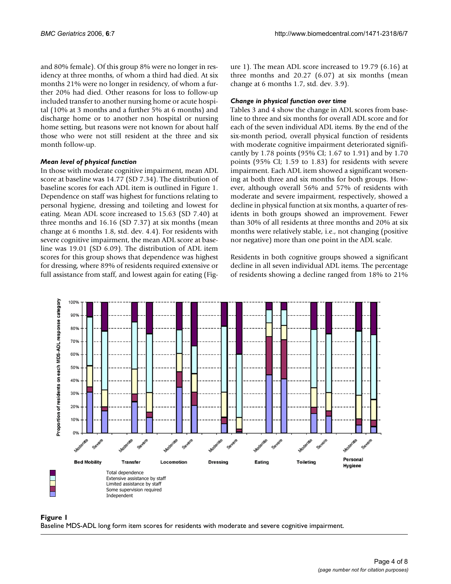and 80% female). Of this group 8% were no longer in residency at three months, of whom a third had died. At six months 21% were no longer in residency, of whom a further 20% had died. Other reasons for loss to follow-up included transfer to another nursing home or acute hospital (10% at 3 months and a further 5% at 6 months) and discharge home or to another non hospital or nursing home setting, but reasons were not known for about half those who were not still resident at the three and six month follow-up.

#### *Mean level of physical function*

In those with moderate cognitive impairment, mean ADL score at baseline was 14.77 (SD 7.34). The distribution of baseline scores for each ADL item is outlined in Figure 1. Dependence on staff was highest for functions relating to personal hygiene, dressing and toileting and lowest for eating. Mean ADL score increased to 15.63 (SD 7.40) at three months and 16.16 (SD 7.37) at six months (mean change at 6 months 1.8, std. dev. 4.4). For residents with severe cognitive impairment, the mean ADL score at baseline was 19.01 (SD 6.09). The distribution of ADL item scores for this group shows that dependence was highest for dressing, where 89% of residents required extensive or full assistance from staff, and lowest again for eating (Figure 1). The mean ADL score increased to 19.79 (6.16) at three months and 20.27 (6.07) at six months (mean change at 6 months 1.7, std. dev. 3.9).

#### *Change in physical function over time*

Tables 3 and 4 show the change in ADL scores from baseline to three and six months for overall ADL score and for each of the seven individual ADL items. By the end of the six-month period, overall physical function of residents with moderate cognitive impairment deteriorated significantly by 1.78 points (95% CI; 1.67 to 1.91) and by 1.70 points (95% CI; 1.59 to 1.83) for residents with severe impairment. Each ADL item showed a significant worsening at both three and six months for both groups. However, although overall 56% and 57% of residents with moderate and severe impairment, respectively, showed a decline in physical function at six months, a quarter of residents in both groups showed an improvement. Fewer than 30% of all residents at three months and 20% at six months were relatively stable, i.e., not changing (positive nor negative) more than one point in the ADL scale.

Residents in both cognitive groups showed a significant decline in all seven individual ADL items. The percentage of residents showing a decline ranged from 18% to 21%



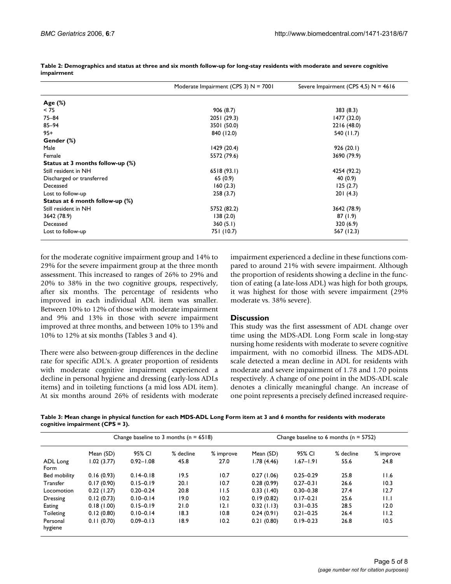|                                  | Moderate Impairment (CPS 3) $N = 7001$ | Severe Impairment (CPS 4,5) $N = 4616$ |  |  |
|----------------------------------|----------------------------------------|----------------------------------------|--|--|
| Age $(\%)$                       |                                        |                                        |  |  |
| < 75                             | 906 (8.7)                              | 383(8.3)                               |  |  |
| $75 - 84$                        | 2051 (29.3)                            | 1477 (32.0)                            |  |  |
| $85 - 94$                        | 3501 (50.0)                            | 2216 (48.0)                            |  |  |
| $95+$                            | 840 (12.0)                             | 540 (11.7)                             |  |  |
| Gender (%)                       |                                        |                                        |  |  |
| Male                             | 1429 (20.4)                            | 926(20.1)                              |  |  |
| Female                           | 5572 (79.6)                            | 3690 (79.9)                            |  |  |
| Status at 3 months follow-up (%) |                                        |                                        |  |  |
| Still resident in NH             | 6518(93.1)                             | 4254 (92.2)                            |  |  |
| Discharged or transferred        | 65(0.9)                                | 40 (0.9)                               |  |  |
| Deceased                         | 160(2.3)                               | 125(2.7)                               |  |  |
| Lost to follow-up                | 258(3.7)                               | 201(4.3)                               |  |  |
| Status at 6 month follow-up (%)  |                                        |                                        |  |  |
| Still resident in NH             | 5752 (82.2)                            | 3642 (78.9)                            |  |  |
| 3642 (78.9)                      | 138(2.0)                               | 87(1.9)                                |  |  |
| Deceased                         | 360(5.1)                               | 320(6.9)                               |  |  |
| Lost to follow-up                | 751 (10.7)                             | 567 (12.3)                             |  |  |

**Table 2: Demographics and status at three and six month follow-up for long-stay residents with moderate and severe cognitive impairment**

for the moderate cognitive impairment group and 14% to 29% for the severe impairment group at the three month assessment. This increased to ranges of 26% to 29% and 20% to 38% in the two cognitive groups, respectively, after six months. The percentage of residents who improved in each individual ADL item was smaller. Between 10% to 12% of those with moderate impairment and 9% and 13% in those with severe impairment improved at three months, and between 10% to 13% and 10% to 12% at six months (Tables 3 and 4).

There were also between-group differences in the decline rate for specific ADL's. A greater proportion of residents with moderate cognitive impairment experienced a decline in personal hygiene and dressing (early-loss ADLs items) and in toileting functions (a mid loss ADL item). At six months around 26% of residents with moderate impairment experienced a decline in these functions compared to around 21% with severe impairment. Although the proportion of residents showing a decline in the function of eating (a late-loss ADL) was high for both groups, it was highest for those with severe impairment (29% moderate vs. 38% severe).

#### **Discussion**

This study was the first assessment of ADL change over time using the MDS-ADL Long Form scale in long-stay nursing home residents with moderate to severe cognitive impairment, with no comorbid illness. The MDS-ADL scale detected a mean decline in ADL for residents with moderate and severe impairment of 1.78 and 1.70 points respectively. A change of one point in the MDS-ADL scale denotes a clinically meaningful change. An increase of one point represents a precisely defined increased require-

**Table 3: Mean change in physical function for each MDS-ADL Long Form item at 3 and 6 months for residents with moderate cognitive impairment (CPS = 3).**

| Change baseline to 3 months ( $n = 6518$ ) |               |           |           | Change baseline to 6 months ( $n = 5752$ ) |               |           |           |  |
|--------------------------------------------|---------------|-----------|-----------|--------------------------------------------|---------------|-----------|-----------|--|
| Mean (SD)                                  | 95% CI        | % decline | % improve | Mean (SD)                                  | 95% CI        | % decline | % improve |  |
| 1.02(3.77)                                 | $0.92 - 1.08$ | 45.8      | 27.0      | 1.78(4.46)                                 | $1.67 - 1.91$ | 55.6      | 24.8      |  |
|                                            |               |           |           |                                            |               |           |           |  |
| 0.16(0.93)                                 | $0.14 - 0.18$ | 19.5      | 10.7      | 0.27(1.06)                                 | $0.25 - 0.29$ | 25.8      | 11.6      |  |
| 0.17(0.90)                                 | $0.15 - 0.19$ | 20.1      | 10.7      | 0.28(0.99)                                 | $0.27 - 0.31$ | 26.6      | 10.3      |  |
| 0.22(1.27)                                 | $0.20 - 0.24$ | 20.8      | 11.5      | 0.33(1.40)                                 | $0.30 - 0.38$ | 27.4      | 12.7      |  |
| 0.12(0.73)                                 | $0.10 - 0.14$ | 19.0      | 10.2      | 0.19(0.82)                                 | $0.17 - 0.21$ | 25.6      | ПJ        |  |
| 0.18(1.00)                                 | $0.15 - 0.19$ | 21.0      | 12.1      | 0.32(1.13)                                 | $0.31 - 0.35$ | 28.5      | 12.0      |  |
| 0.12(0.80)                                 | $0.10 - 0.14$ | 18.3      | 10.8      | 0.24(0.91)                                 | $0.21 - 0.25$ | 26.4      | 11.2      |  |
| 0.11(0.70)                                 | $0.09 - 0.13$ | 18.9      | 10.2      | 0.21(0.80)                                 | $0.19 - 0.23$ | 26.8      | 10.5      |  |
|                                            |               |           |           |                                            |               |           |           |  |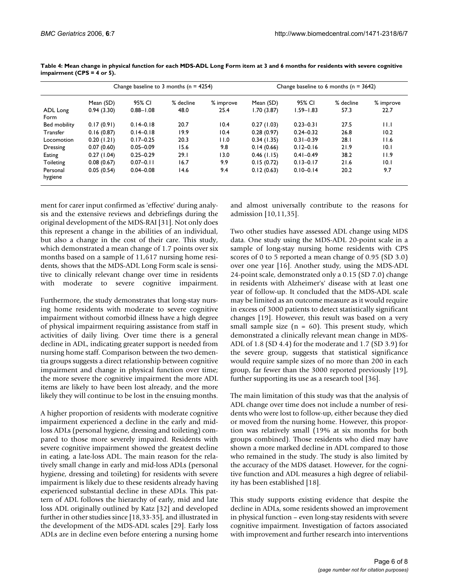|                     |            | Change baseline to 3 months ( $n = 4254$ ) |           |           | Change baseline to 6 months ( $n = 3642$ ) |               |           |           |
|---------------------|------------|--------------------------------------------|-----------|-----------|--------------------------------------------|---------------|-----------|-----------|
|                     | Mean (SD)  | 95% CI                                     | % decline | % improve | Mean (SD)                                  | 95% CI        | % decline | % improve |
| ADL Long            | 0.94(3.30) | $0.88 - 1.08$                              | 48.0      | 25.4      | 1.70(3.87)                                 | $1.59 - 1.83$ | 57.3      | 22.7      |
| Form                |            |                                            |           |           |                                            |               |           |           |
| Bed mobility        | 0.17(0.91) | $0.14 - 0.18$                              | 20.7      | 10.4      | 0.27(1.03)                                 | $0.23 - 0.31$ | 27.5      | H.I       |
| Transfer            | 0.16(0.87) | $0.14 - 0.18$                              | 19.9      | 10.4      | 0.28(0.97)                                 | $0.24 - 0.32$ | 26.8      | 10.2      |
| Locomotion          | 0.20(1.21) | $0.17 - 0.25$                              | 20.3      | 11.0      | 0.34(1.35)                                 | $0.31 - 0.39$ | 28.1      | 11.6      |
| Dressing            | 0.07(0.60) | $0.05 - 0.09$                              | 15.6      | 9.8       | 0.14(0.66)                                 | $0.12 - 0.16$ | 21.9      | 10.1      |
| Eating              | 0.27(1.04) | $0.25 - 0.29$                              | 29.1      | 13.0      | $0.46$ (1.15)                              | $0.41 - 0.49$ | 38.2      | 11.9      |
| Toileting           | 0.08(0.67) | $0.07 - 0.11$                              | 16.7      | 9.9       | 0.15(0.72)                                 | $0.13 - 0.17$ | 21.6      | 10.1      |
| Personal<br>hygiene | 0.05(0.54) | $0.04 - 0.08$                              | 14.6      | 9.4       | 0.12(0.63)                                 | $0.10 - 0.14$ | 20.2      | 9.7       |

**Table 4: Mean change in physical function for each MDS-ADL Long Form item at 3 and 6 months for residents with severe cognitive impairment (CPS = 4 or 5).**

ment for carer input confirmed as 'effective' during analysis and the extensive reviews and debriefings during the original development of the MDS-RAI [31]. Not only does this represent a change in the abilities of an individual, but also a change in the cost of their care. This study, which demonstrated a mean change of 1.7 points over six months based on a sample of 11,617 nursing home residents, shows that the MDS-ADL Long Form scale is sensitive to clinically relevant change over time in residents with moderate to severe cognitive impairment.

Furthermore, the study demonstrates that long-stay nursing home residents with moderate to severe cognitive impairment without comorbid illness have a high degree of physical impairment requiring assistance from staff in activities of daily living. Over time there is a general decline in ADL, indicating greater support is needed from nursing home staff. Comparison between the two dementia groups suggests a direct relationship between cognitive impairment and change in physical function over time; the more severe the cognitive impairment the more ADL items are likely to have been lost already, and the more likely they will continue to be lost in the ensuing months.

A higher proportion of residents with moderate cognitive impairment experienced a decline in the early and midloss ADLs (personal hygiene, dressing and toileting) compared to those more severely impaired. Residents with severe cognitive impairment showed the greatest decline in eating, a late-loss ADL. The main reason for the relatively small change in early and mid-loss ADLs (personal hygiene, dressing and toileting) for residents with severe impairment is likely due to these residents already having experienced substantial decline in these ADLs. This pattern of ADL follows the hierarchy of early, mid and late loss ADL originally outlined by Katz [32] and developed further in other studies since [18,33-35], and illustrated in the development of the MDS-ADL scales [29]. Early loss ADLs are in decline even before entering a nursing home

and almost universally contribute to the reasons for admission [10,11,35].

Two other studies have assessed ADL change using MDS data. One study using the MDS-ADL 20-point scale in a sample of long-stay nursing home residents with CPS scores of 0 to 5 reported a mean change of 0.95 (SD 3.0) over one year [16]. Another study, using the MDS-ADL 24-point scale, demonstrated only a 0.15 (SD 7.0) change in residents with Alzheimer's' disease with at least one year of follow-up. It concluded that the MDS-ADL scale may be limited as an outcome measure as it would require in excess of 3000 patients to detect statistically significant changes [19]. However, this result was based on a very small sample size  $(n = 60)$ . This present study, which demonstrated a clinically relevant mean change in MDS-ADL of 1.8 (SD 4.4) for the moderate and 1.7 (SD 3.9) for the severe group, suggests that statistical significance would require sample sizes of no more than 200 in each group, far fewer than the 3000 reported previously [19], further supporting its use as a research tool [36].

The main limitation of this study was that the analysis of ADL change over time does not include a number of residents who were lost to follow-up, either because they died or moved from the nursing home. However, this proportion was relatively small (19% at six months for both groups combined). Those residents who died may have shown a more marked decline in ADL compared to those who remained in the study. The study is also limited by the accuracy of the MDS dataset. However, for the cognitive function and ADL measures a high degree of reliability has been established [18].

This study supports existing evidence that despite the decline in ADLs, some residents showed an improvement in physical function – even long-stay residents with severe cognitive impairment. Investigation of factors associated with improvement and further research into interventions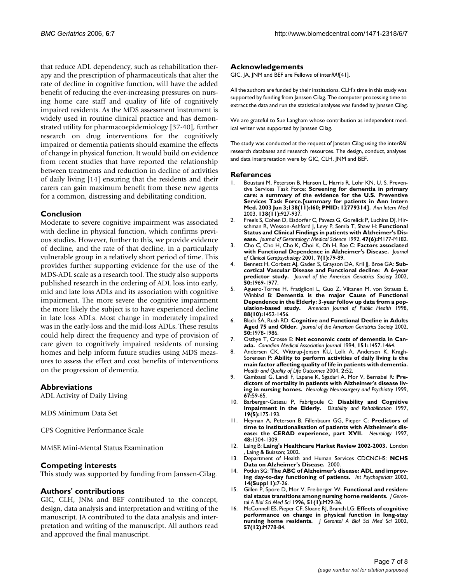that reduce ADL dependency, such as rehabilitation therapy and the prescription of pharmaceuticals that alter the rate of decline in cognitive function, will have the added benefit of reducing the ever-increasing pressures on nursing home care staff and quality of life of cognitively impaired residents. As the MDS assessment instrument is widely used in routine clinical practice and has demonstrated utility for pharmacoepidemiology [37-40], further research on drug interventions for the cognitively impaired or dementia patients should examine the effects of change in physical function. It would build on evidence from recent studies that have reported the relationship between treatments and reduction in decline of activities of daily living [14] ensuring that the residents and their carers can gain maximum benefit from these new agents for a common, distressing and debilitating condition.

#### **Conclusion**

Moderate to severe cognitive impairment was associated with decline in physical function, which confirms previous studies. However, further to this, we provide evidence of decline, and the rate of that decline, in a particularly vulnerable group in a relatively short period of time. This provides further supporting evidence for the use of the MDS-ADL scale as a research tool. The study also supports published research in the ordering of ADL loss into early, mid and late loss ADLs and its association with cognitive impairment. The more severe the cognitive impairment the more likely the subject is to have experienced decline in late loss ADLs. Most change in moderately impaired was in the early-loss and the mid-loss ADLs. These results could help direct the frequency and type of provision of care given to cognitively impaired residents of nursing homes and help inform future studies using MDS measures to assess the effect and cost benefits of interventions on the progression of dementia.

#### **Abbreviations**

ADL Activity of Daily Living

MDS Minimum Data Set

CPS Cognitive Performance Scale

MMSE Mini-Mental Status Examination

#### **Competing interests**

This study was supported by funding from Janssen-Cilag.

#### **Authors' contributions**

GIC, CLH, JNM and BEF contributed to the concept, design, data analysis and interpretation and writing of the manuscript. JA contributed to the data analysis and interpretation and writing of the manuscript. All authors read and approved the final manuscript.

#### **Acknowledgements**

GIC, JA, JNM and BEF are Fellows of inter*RAI*[41].

All the authors are funded by their institutions. CLH's time in this study was supported by funding from Janssen Cilag. The computer processing time to extract the data and run the statistical analyses was funded by Janssen Cilag.

We are grateful to Sue Langham whose contribution as independent medical writer was supported by Janssen Cilag.

The study was conducted at the request of Janssen Cilag using the inter*RAI*  research databases and research resources. The design, conduct, analyses and data interpretation were by GIC, CLH, JNM and BEF.

#### **References**

- Boustani M, Peterson B, Hanson L, Harris R, Lohr KN, U. S. Preventive Services Task Force: **[Screening for dementia in primary](http://www.ncbi.nlm.nih.gov/entrez/query.fcgi?cmd=Retrieve&db=PubMed&dopt=Abstract&list_uids=12779304) [care: a summary of the evidence for the U.S. Preventive](http://www.ncbi.nlm.nih.gov/entrez/query.fcgi?cmd=Retrieve&db=PubMed&dopt=Abstract&list_uids=12779304) Services Task Force.[summary for patients in Ann Intern [Med. 2003 Jun 3;138\(11\):I60; PMID: 12779314\].](http://www.ncbi.nlm.nih.gov/entrez/query.fcgi?cmd=Retrieve&db=PubMed&dopt=Abstract&list_uids=12779304)** *Ann Intern Med* 2003, **138(11):**927-937.
- 2. Freels S, Cohen D, Eisdorfer C, Paveza G, Gorelick P, Luchins DJ, Hirschman R, Wesson-Ashford J, Levy P, Semla T, Shaw H: **Functional Status and Clinical Findings in patients with Alzheimer's Disease.** *Journal of Gerontology: Medical Science* 1992, **47(6):**M177-M182.
- 3. Cho C, Cho H, Cho K, Choi K, Oh H, Bae C: **Factors associated with Functional Dependence in Alzheimer's Disease.** *Journal of Clinical Geropsychology* 2001, **7(1):**79-89.
- 4. Bennett H, Corbett AJ, Gaden S, Grayson DA, Kril JJ, Broe GA: [Sub](http://www.ncbi.nlm.nih.gov/entrez/query.fcgi?cmd=Retrieve&db=PubMed&dopt=Abstract&list_uids=12473008)**[cortical Vascular Disease and Functional decline: A 6-year](http://www.ncbi.nlm.nih.gov/entrez/query.fcgi?cmd=Retrieve&db=PubMed&dopt=Abstract&list_uids=12473008)** [predictor study.](http://www.ncbi.nlm.nih.gov/entrez/query.fcgi?cmd=Retrieve&db=PubMed&dopt=Abstract&list_uids=12473008) Journal of the American Geriatrics Society 2002, **50:**1969-1977.
- 5. Aguero-Torres H, Fratiglioni L, Guo Z, Viitanen M, von Strauss E, Winblad B: **[Dementia is the major Cause of Functional](http://www.ncbi.nlm.nih.gov/entrez/query.fcgi?cmd=Retrieve&db=PubMed&dopt=Abstract&list_uids=9772843) [Dependence in the Elderly: 3-year follow up data from a pop](http://www.ncbi.nlm.nih.gov/entrez/query.fcgi?cmd=Retrieve&db=PubMed&dopt=Abstract&list_uids=9772843)[ulation-based study.](http://www.ncbi.nlm.nih.gov/entrez/query.fcgi?cmd=Retrieve&db=PubMed&dopt=Abstract&list_uids=9772843)** *American Journal of Public Health* 1998, **88(10):**1452-1456.
- 6. Black SA, Rush RD: **[Cognitive and Functional Decline in Adults](http://www.ncbi.nlm.nih.gov/entrez/query.fcgi?cmd=Retrieve&db=PubMed&dopt=Abstract&list_uids=12473009) [Aged 75 and Older.](http://www.ncbi.nlm.nih.gov/entrez/query.fcgi?cmd=Retrieve&db=PubMed&dopt=Abstract&list_uids=12473009)** *Journal of the American Geriatrics Society* 2002, **50:**1978-1986.
- 7. Ostbye T, Crosse E: **[Net economic costs of dementia in Can](http://www.ncbi.nlm.nih.gov/entrez/query.fcgi?cmd=Retrieve&db=PubMed&dopt=Abstract&list_uids=7954140)[ada.](http://www.ncbi.nlm.nih.gov/entrez/query.fcgi?cmd=Retrieve&db=PubMed&dopt=Abstract&list_uids=7954140)** *Canadian Medical Association Journal* 1994, **151:**1457-1464.
- 8. Andersen CK, Wittrup-Jensen KU, Lolk A, Andersen K, Kragh-Sørensen P: **Ability to perform activities of daily living is the main factor affecting quality of life in patients with dementia.** *Health and Quality of Life Outcomes* 2004, **2:**52.
- 9. Gambassi G, Landi F, Lapane K, Sgadari A, Mor V, Bernabei R: **Predictors of mortality in patients with Alzheimer's disease living in nursing homes.** *Neurology Neurosurgery and Psychiatry* 1999, **67:**59-65.
- 10. Barberger-Gateau P, Fabrigoule C: **Disability and Cognitive Impairment in the Elderly.** *Disability and Rehabilitation* 1997, **19(5):**175-193.
- 11. Heyman A, Peterson B, Fillenbaum GG, Pieper C: **[Predictors of](http://www.ncbi.nlm.nih.gov/entrez/query.fcgi?cmd=Retrieve&db=PubMed&dopt=Abstract&list_uids=9153462) [time to institutionalisation of patients with Alzheimer's dis](http://www.ncbi.nlm.nih.gov/entrez/query.fcgi?cmd=Retrieve&db=PubMed&dopt=Abstract&list_uids=9153462)[ease: the CERAD experience, part XVII.](http://www.ncbi.nlm.nih.gov/entrez/query.fcgi?cmd=Retrieve&db=PubMed&dopt=Abstract&list_uids=9153462)** *Neurology* 1997, **48:**1304-1309.
- 12. Laing B: **Laing's Healthcare Market Review 2002-2003.** London Laing & Buisson; 2002.
- 13. Department of Health and Human Services CDCNCHS: **NCHS Data on Alzheimer's Disease.** 2000.
- 14. Potkin SG: **[The ABC of Alzheimer's disease: ADL and improv](http://www.ncbi.nlm.nih.gov/entrez/query.fcgi?cmd=Retrieve&db=PubMed&dopt=Abstract&list_uids=12636178)[ing day-to-day functioning of patients.](http://www.ncbi.nlm.nih.gov/entrez/query.fcgi?cmd=Retrieve&db=PubMed&dopt=Abstract&list_uids=12636178)** *Int Psychogeriatr* 2002, **14(Suppl 1):**7-26.
- 15. Gillen P, Spore D, Mor V, Freiberger W: **[Functional and residen](http://www.ncbi.nlm.nih.gov/entrez/query.fcgi?cmd=Retrieve&db=PubMed&dopt=Abstract&list_uids=8548510)[tial status transitions among nursing home residents.](http://www.ncbi.nlm.nih.gov/entrez/query.fcgi?cmd=Retrieve&db=PubMed&dopt=Abstract&list_uids=8548510)** *J Gerontol A Biol Sci Med Sci* 1996, **51(1):**M29-36.
- 16. McConnell ES, Pieper CF, Sloane RJ, Branch LG: **[Effects of cognitive](http://www.ncbi.nlm.nih.gov/entrez/query.fcgi?cmd=Retrieve&db=PubMed&dopt=Abstract&list_uids=12456736) [performance on change in physical function in long-stay](http://www.ncbi.nlm.nih.gov/entrez/query.fcgi?cmd=Retrieve&db=PubMed&dopt=Abstract&list_uids=12456736) [nursing home residents.](http://www.ncbi.nlm.nih.gov/entrez/query.fcgi?cmd=Retrieve&db=PubMed&dopt=Abstract&list_uids=12456736)** *J Gerontol A Biol Sci Med Sci* 2002, **57(12):**M778-84.